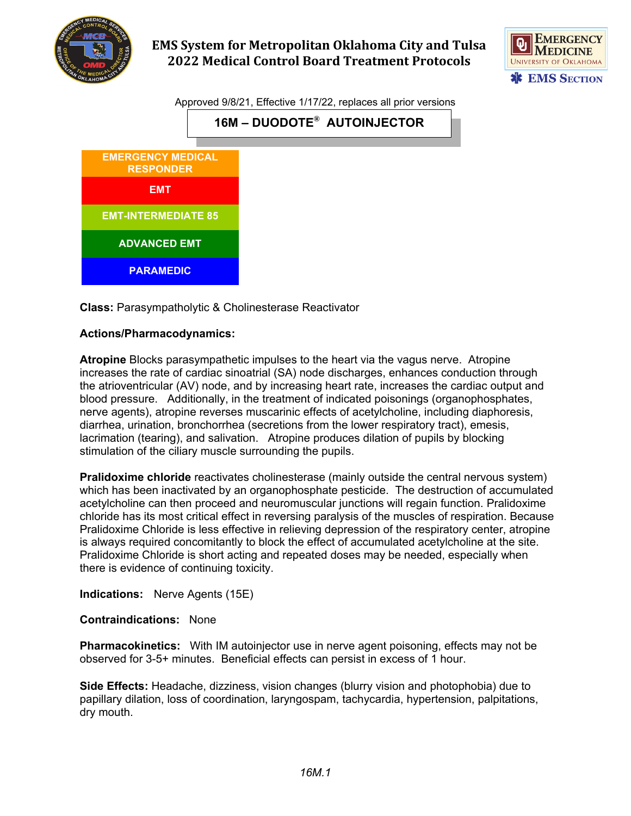

## **EMS System for Metropolitan Oklahoma City and Tulsa 2022 Medical Control Board Treatment Protocols**



Approved 9/8/21, Effective 1/17/22, replaces all prior versions





**Class:** Parasympatholytic & Cholinesterase Reactivator

## **Actions/Pharmacodynamics:**

**Atropine** Blocks parasympathetic impulses to the heart via the vagus nerve. Atropine increases the rate of cardiac sinoatrial (SA) node discharges, enhances conduction through the atrioventricular (AV) node, and by increasing heart rate, increases the cardiac output and blood pressure. Additionally, in the treatment of indicated poisonings (organophosphates, nerve agents), atropine reverses muscarinic effects of acetylcholine, including diaphoresis, diarrhea, urination, bronchorrhea (secretions from the lower respiratory tract), emesis, lacrimation (tearing), and salivation. Atropine produces dilation of pupils by blocking stimulation of the ciliary muscle surrounding the pupils.

**Pralidoxime chloride** reactivates cholinesterase (mainly outside the central nervous system) which has been inactivated by an organophosphate pesticide. The destruction of accumulated acetylcholine can then proceed and neuromuscular junctions will regain function. Pralidoxime chloride has its most critical effect in reversing paralysis of the muscles of respiration. Because Pralidoxime Chloride is less effective in relieving depression of the respiratory center, atropine is always required concomitantly to block the effect of accumulated acetylcholine at the site. Pralidoxime Chloride is short acting and repeated doses may be needed, especially when there is evidence of continuing toxicity.

**Indications:** Nerve Agents (15E)

## **Contraindications:** None

**Pharmacokinetics:** With IM autoinjector use in nerve agent poisoning, effects may not be observed for 3-5+ minutes. Beneficial effects can persist in excess of 1 hour.

**Side Effects:** Headache, dizziness, vision changes (blurry vision and photophobia) due to papillary dilation, loss of coordination, laryngospam, tachycardia, hypertension, palpitations, dry mouth.